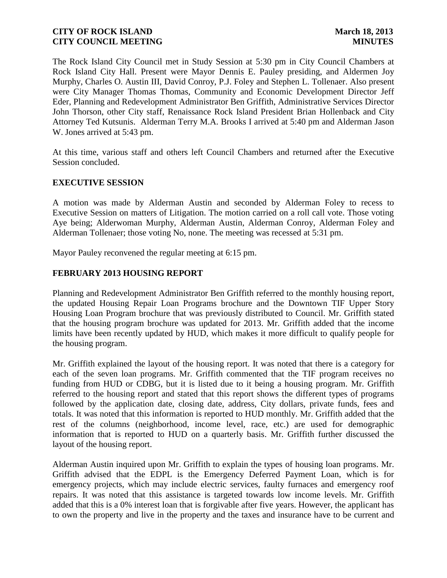The Rock Island City Council met in Study Session at 5:30 pm in City Council Chambers at Rock Island City Hall. Present were Mayor Dennis E. Pauley presiding, and Aldermen Joy Murphy, Charles O. Austin III, David Conroy, P.J. Foley and Stephen L. Tollenaer. Also present were City Manager Thomas Thomas, Community and Economic Development Director Jeff Eder, Planning and Redevelopment Administrator Ben Griffith, Administrative Services Director John Thorson, other City staff, Renaissance Rock Island President Brian Hollenback and City Attorney Ted Kutsunis. Alderman Terry M.A. Brooks I arrived at 5:40 pm and Alderman Jason W. Jones arrived at 5:43 pm.

At this time, various staff and others left Council Chambers and returned after the Executive Session concluded.

#### **EXECUTIVE SESSION**

A motion was made by Alderman Austin and seconded by Alderman Foley to recess to Executive Session on matters of Litigation. The motion carried on a roll call vote. Those voting Aye being; Alderwoman Murphy, Alderman Austin, Alderman Conroy, Alderman Foley and Alderman Tollenaer; those voting No, none. The meeting was recessed at 5:31 pm.

Mayor Pauley reconvened the regular meeting at 6:15 pm.

## **FEBRUARY 2013 HOUSING REPORT**

Planning and Redevelopment Administrator Ben Griffith referred to the monthly housing report, the updated Housing Repair Loan Programs brochure and the Downtown TIF Upper Story Housing Loan Program brochure that was previously distributed to Council. Mr. Griffith stated that the housing program brochure was updated for 2013. Mr. Griffith added that the income limits have been recently updated by HUD, which makes it more difficult to qualify people for the housing program.

Mr. Griffith explained the layout of the housing report. It was noted that there is a category for each of the seven loan programs. Mr. Griffith commented that the TIF program receives no funding from HUD or CDBG, but it is listed due to it being a housing program. Mr. Griffith referred to the housing report and stated that this report shows the different types of programs followed by the application date, closing date, address, City dollars, private funds, fees and totals. It was noted that this information is reported to HUD monthly. Mr. Griffith added that the rest of the columns (neighborhood, income level, race, etc.) are used for demographic information that is reported to HUD on a quarterly basis. Mr. Griffith further discussed the layout of the housing report.

Alderman Austin inquired upon Mr. Griffith to explain the types of housing loan programs. Mr. Griffith advised that the EDPL is the Emergency Deferred Payment Loan, which is for emergency projects, which may include electric services, faulty furnaces and emergency roof repairs. It was noted that this assistance is targeted towards low income levels. Mr. Griffith added that this is a 0% interest loan that is forgivable after five years. However, the applicant has to own the property and live in the property and the taxes and insurance have to be current and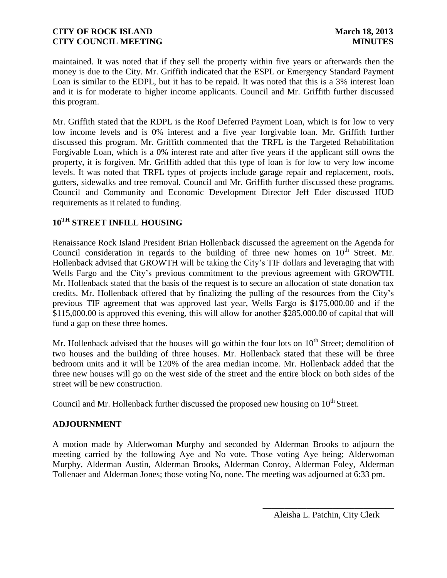maintained. It was noted that if they sell the property within five years or afterwards then the money is due to the City. Mr. Griffith indicated that the ESPL or Emergency Standard Payment Loan is similar to the EDPL, but it has to be repaid. It was noted that this is a 3% interest loan and it is for moderate to higher income applicants. Council and Mr. Griffith further discussed this program.

Mr. Griffith stated that the RDPL is the Roof Deferred Payment Loan, which is for low to very low income levels and is 0% interest and a five year forgivable loan. Mr. Griffith further discussed this program. Mr. Griffith commented that the TRFL is the Targeted Rehabilitation Forgivable Loan, which is a 0% interest rate and after five years if the applicant still owns the property, it is forgiven. Mr. Griffith added that this type of loan is for low to very low income levels. It was noted that TRFL types of projects include garage repair and replacement, roofs, gutters, sidewalks and tree removal. Council and Mr. Griffith further discussed these programs. Council and Community and Economic Development Director Jeff Eder discussed HUD requirements as it related to funding.

# **10TH STREET INFILL HOUSING**

Renaissance Rock Island President Brian Hollenback discussed the agreement on the Agenda for Council consideration in regards to the building of three new homes on  $10<sup>th</sup>$  Street. Mr. Hollenback advised that GROWTH will be taking the City's TIF dollars and leveraging that with Wells Fargo and the City's previous commitment to the previous agreement with GROWTH. Mr. Hollenback stated that the basis of the request is to secure an allocation of state donation tax credits. Mr. Hollenback offered that by finalizing the pulling of the resources from the City's previous TIF agreement that was approved last year, Wells Fargo is \$175,000.00 and if the \$115,000.00 is approved this evening, this will allow for another \$285,000.00 of capital that will fund a gap on these three homes.

Mr. Hollenback advised that the houses will go within the four lots on  $10<sup>th</sup>$  Street; demolition of two houses and the building of three houses. Mr. Hollenback stated that these will be three bedroom units and it will be 120% of the area median income. Mr. Hollenback added that the three new houses will go on the west side of the street and the entire block on both sides of the street will be new construction.

Council and Mr. Hollenback further discussed the proposed new housing on  $10^{th}$  Street.

# **ADJOURNMENT**

A motion made by Alderwoman Murphy and seconded by Alderman Brooks to adjourn the meeting carried by the following Aye and No vote. Those voting Aye being; Alderwoman Murphy, Alderman Austin, Alderman Brooks, Alderman Conroy, Alderman Foley, Alderman Tollenaer and Alderman Jones; those voting No, none. The meeting was adjourned at 6:33 pm.

\_\_\_\_\_\_\_\_\_\_\_\_\_\_\_\_\_\_\_\_\_\_\_\_\_\_\_\_\_\_ Aleisha L. Patchin, City Clerk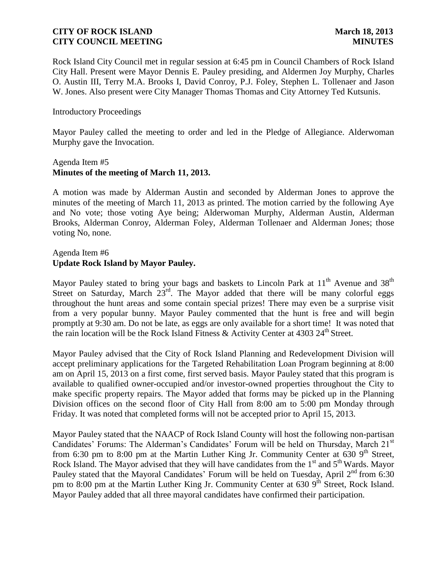Rock Island City Council met in regular session at 6:45 pm in Council Chambers of Rock Island City Hall. Present were Mayor Dennis E. Pauley presiding, and Aldermen Joy Murphy, Charles O. Austin III, Terry M.A. Brooks I, David Conroy, P.J. Foley, Stephen L. Tollenaer and Jason W. Jones. Also present were City Manager Thomas Thomas and City Attorney Ted Kutsunis.

#### Introductory Proceedings

Mayor Pauley called the meeting to order and led in the Pledge of Allegiance. Alderwoman Murphy gave the Invocation.

#### Agenda Item #5 **Minutes of the meeting of March 11, 2013.**

A motion was made by Alderman Austin and seconded by Alderman Jones to approve the minutes of the meeting of March 11, 2013 as printed. The motion carried by the following Aye and No vote; those voting Aye being; Alderwoman Murphy, Alderman Austin, Alderman Brooks, Alderman Conroy, Alderman Foley, Alderman Tollenaer and Alderman Jones; those voting No, none.

#### Agenda Item #6 **Update Rock Island by Mayor Pauley.**

Mayor Pauley stated to bring your bags and baskets to Lincoln Park at  $11<sup>th</sup>$  Avenue and 38<sup>th</sup> Street on Saturday, March  $23<sup>rd</sup>$ . The Mayor added that there will be many colorful eggs throughout the hunt areas and some contain special prizes! There may even be a surprise visit from a very popular bunny. Mayor Pauley commented that the hunt is free and will begin promptly at 9:30 am. Do not be late, as eggs are only available for a short time! It was noted that the rain location will be the Rock Island Fitness & Activity Center at 4303 24<sup>th</sup> Street.

Mayor Pauley advised that the City of Rock Island Planning and Redevelopment Division will accept preliminary applications for the Targeted Rehabilitation Loan Program beginning at 8:00 am on April 15, 2013 on a first come, first served basis. Mayor Pauley stated that this program is available to qualified owner-occupied and/or investor-owned properties throughout the City to make specific property repairs. The Mayor added that forms may be picked up in the Planning Division offices on the second floor of City Hall from 8:00 am to 5:00 pm Monday through Friday. It was noted that completed forms will not be accepted prior to April 15, 2013.

Mayor Pauley stated that the NAACP of Rock Island County will host the following non-partisan Candidates' Forums: The Alderman's Candidates' Forum will be held on Thursday, March 21<sup>st</sup> from 6:30 pm to 8:00 pm at the Martin Luther King Jr. Community Center at 630  $9<sup>th</sup>$  Street, Rock Island. The Mayor advised that they will have candidates from the  $1<sup>st</sup>$  and  $5<sup>th</sup>$  Wards. Mayor Pauley stated that the Mayoral Candidates' Forum will be held on Tuesday, April 2<sup>nd</sup> from 6:30 pm to 8:00 pm at the Martin Luther King Jr. Community Center at 630 9<sup>th</sup> Street, Rock Island. Mayor Pauley added that all three mayoral candidates have confirmed their participation.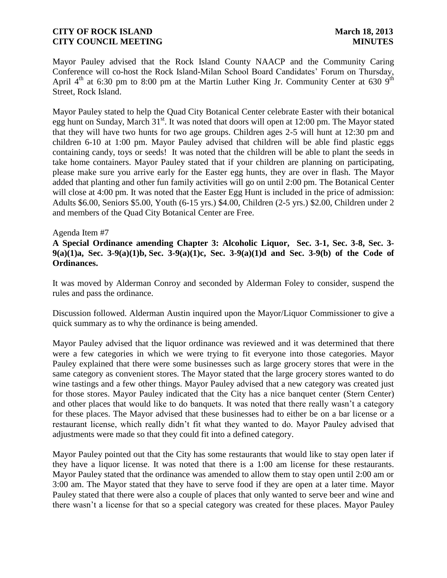Mayor Pauley advised that the Rock Island County NAACP and the Community Caring Conference will co-host the Rock Island-Milan School Board Candidates' Forum on Thursday, April  $4<sup>th</sup>$  at 6:30 pm to 8:00 pm at the Martin Luther King Jr. Community Center at 630  $9<sup>th</sup>$ Street, Rock Island.

Mayor Pauley stated to help the Quad City Botanical Center celebrate Easter with their botanical egg hunt on Sunday, March 31<sup>st</sup>. It was noted that doors will open at 12:00 pm. The Mayor stated that they will have two hunts for two age groups. Children ages 2-5 will hunt at 12:30 pm and children 6-10 at 1:00 pm. Mayor Pauley advised that children will be able find plastic eggs containing candy, toys or seeds! It was noted that the children will be able to plant the seeds in take home containers. Mayor Pauley stated that if your children are planning on participating, please make sure you arrive early for the Easter egg hunts, they are over in flash. The Mayor added that planting and other fun family activities will go on until 2:00 pm. The Botanical Center will close at 4:00 pm. It was noted that the Easter Egg Hunt is included in the price of admission: Adults \$6.00, Seniors \$5.00, Youth (6-15 yrs.) \$4.00, Children (2-5 yrs.) \$2.00, Children under 2 and members of the Quad City Botanical Center are Free.

#### Agenda Item #7

**A Special Ordinance amending Chapter 3: Alcoholic Liquor, Sec. 3-1, Sec. 3-8, Sec. 3- 9(a)(1)a, Sec. 3-9(a)(1)b, Sec. 3-9(a)(1)c, Sec. 3-9(a)(1)d and Sec. 3-9(b) of the Code of Ordinances.** 

It was moved by Alderman Conroy and seconded by Alderman Foley to consider, suspend the rules and pass the ordinance.

Discussion followed. Alderman Austin inquired upon the Mayor/Liquor Commissioner to give a quick summary as to why the ordinance is being amended.

Mayor Pauley advised that the liquor ordinance was reviewed and it was determined that there were a few categories in which we were trying to fit everyone into those categories. Mayor Pauley explained that there were some businesses such as large grocery stores that were in the same category as convenient stores. The Mayor stated that the large grocery stores wanted to do wine tastings and a few other things. Mayor Pauley advised that a new category was created just for those stores. Mayor Pauley indicated that the City has a nice banquet center (Stern Center) and other places that would like to do banquets. It was noted that there really wasn't a category for these places. The Mayor advised that these businesses had to either be on a bar license or a restaurant license, which really didn't fit what they wanted to do. Mayor Pauley advised that adjustments were made so that they could fit into a defined category.

Mayor Pauley pointed out that the City has some restaurants that would like to stay open later if they have a liquor license. It was noted that there is a 1:00 am license for these restaurants. Mayor Pauley stated that the ordinance was amended to allow them to stay open until 2:00 am or 3:00 am. The Mayor stated that they have to serve food if they are open at a later time. Mayor Pauley stated that there were also a couple of places that only wanted to serve beer and wine and there wasn't a license for that so a special category was created for these places. Mayor Pauley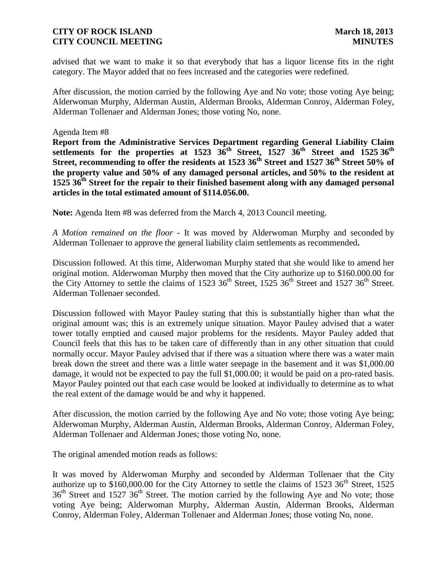advised that we want to make it so that everybody that has a liquor license fits in the right category. The Mayor added that no fees increased and the categories were redefined.

After discussion, the motion carried by the following Aye and No vote; those voting Aye being; Alderwoman Murphy, Alderman Austin, Alderman Brooks, Alderman Conroy, Alderman Foley, Alderman Tollenaer and Alderman Jones; those voting No, none.

Agenda Item #8

**Report from the Administrative Services Department regarding General Liability Claim settlements for the properties at 1523 36th Street, 1527 36th Street and 1525 36th Street, recommending to offer the residents at 1523 36th Street and 1527 36th Street 50% of the property value and 50% of any damaged personal articles, and 50% to the resident at 1525 36th Street for the repair to their finished basement along with any damaged personal articles in the total estimated amount of \$114.056.00.** 

**Note:** Agenda Item #8 was deferred from the March 4, 2013 Council meeting.

*A Motion remained on the floor* - It was moved by Alderwoman Murphy and seconded by Alderman Tollenaer to approve the general liability claim settlements as recommended**.**

Discussion followed. At this time, Alderwoman Murphy stated that she would like to amend her original motion. Alderwoman Murphy then moved that the City authorize up to \$160.000.00 for the City Attorney to settle the claims of 1523  $36<sup>th</sup>$  Street, 1525  $36<sup>th</sup>$  Street and 1527  $36<sup>th</sup>$  Street. Alderman Tollenaer seconded.

Discussion followed with Mayor Pauley stating that this is substantially higher than what the original amount was; this is an extremely unique situation. Mayor Pauley advised that a water tower totally emptied and caused major problems for the residents. Mayor Pauley added that Council feels that this has to be taken care of differently than in any other situation that could normally occur. Mayor Pauley advised that if there was a situation where there was a water main break down the street and there was a little water seepage in the basement and it was \$1,000.00 damage, it would not be expected to pay the full \$1,000.00; it would be paid on a pro-rated basis. Mayor Pauley pointed out that each case would be looked at individually to determine as to what the real extent of the damage would be and why it happened.

After discussion, the motion carried by the following Aye and No vote; those voting Aye being; Alderwoman Murphy, Alderman Austin, Alderman Brooks, Alderman Conroy, Alderman Foley, Alderman Tollenaer and Alderman Jones; those voting No, none.

The original amended motion reads as follows:

It was moved by Alderwoman Murphy and seconded by Alderman Tollenaer that the City authorize up to \$160,000.00 for the City Attorney to settle the claims of 1523  $36<sup>th</sup>$  Street, 1525  $36<sup>th</sup>$  Street and 1527  $36<sup>th</sup>$  Street. The motion carried by the following Aye and No vote; those voting Aye being; Alderwoman Murphy, Alderman Austin, Alderman Brooks, Alderman Conroy, Alderman Foley, Alderman Tollenaer and Alderman Jones; those voting No, none.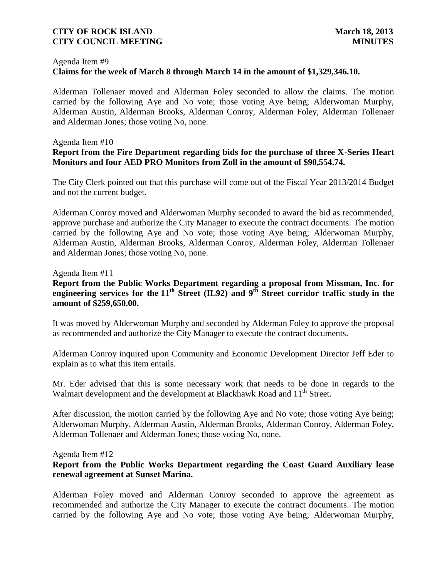#### Agenda Item #9

# **Claims for the week of March 8 through March 14 in the amount of \$1,329,346.10.**

 Alderman Tollenaer moved and Alderman Foley seconded to allow the claims. The motion carried by the following Aye and No vote; those voting Aye being; Alderwoman Murphy, Alderman Austin, Alderman Brooks, Alderman Conroy, Alderman Foley, Alderman Tollenaer and Alderman Jones; those voting No, none.

#### Agenda Item #10

# **Report from the Fire Department regarding bids for the purchase of three X-Series Heart Monitors and four AED PRO Monitors from Zoll in the amount of \$90,554.74.**

The City Clerk pointed out that this purchase will come out of the Fiscal Year 2013/2014 Budget and not the current budget.

Alderman Conroy moved and Alderwoman Murphy seconded to award the bid as recommended, approve purchase and authorize the City Manager to execute the contract documents. The motion carried by the following Aye and No vote; those voting Aye being; Alderwoman Murphy, Alderman Austin, Alderman Brooks, Alderman Conroy, Alderman Foley, Alderman Tollenaer and Alderman Jones; those voting No, none.

Agenda Item #11

## **Report from the Public Works Department regarding a proposal from Missman, Inc. for engineering services for the 11th Street (IL92) and 9th Street corridor traffic study in the amount of \$259,650.00.**

It was moved by Alderwoman Murphy and seconded by Alderman Foley to approve the proposal as recommended and authorize the City Manager to execute the contract documents.

Alderman Conroy inquired upon Community and Economic Development Director Jeff Eder to explain as to what this item entails.

Mr. Eder advised that this is some necessary work that needs to be done in regards to the Walmart development and the development at Blackhawk Road and 11<sup>th</sup> Street.

After discussion, the motion carried by the following Aye and No vote; those voting Aye being; Alderwoman Murphy, Alderman Austin, Alderman Brooks, Alderman Conroy, Alderman Foley, Alderman Tollenaer and Alderman Jones; those voting No, none.

Agenda Item #12

## **Report from the Public Works Department regarding the Coast Guard Auxiliary lease renewal agreement at Sunset Marina.**

Alderman Foley moved and Alderman Conroy seconded to approve the agreement as recommended and authorize the City Manager to execute the contract documents. The motion carried by the following Aye and No vote; those voting Aye being; Alderwoman Murphy,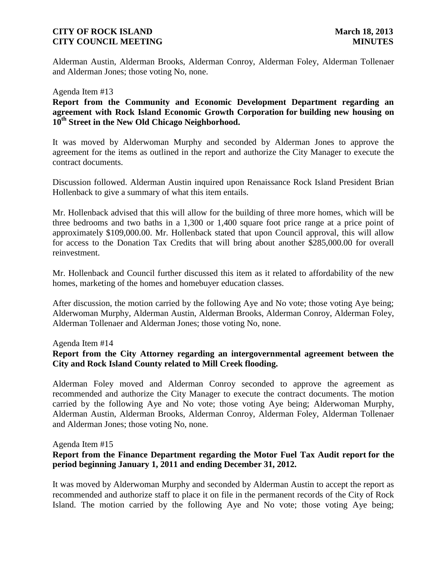Alderman Austin, Alderman Brooks, Alderman Conroy, Alderman Foley, Alderman Tollenaer and Alderman Jones; those voting No, none.

#### Agenda Item #13

**Report from the Community and Economic Development Department regarding an agreement with Rock Island Economic Growth Corporation for building new housing on 10th Street in the New Old Chicago Neighborhood.** 

It was moved by Alderwoman Murphy and seconded by Alderman Jones to approve the agreement for the items as outlined in the report and authorize the City Manager to execute the contract documents.

Discussion followed. Alderman Austin inquired upon Renaissance Rock Island President Brian Hollenback to give a summary of what this item entails.

Mr. Hollenback advised that this will allow for the building of three more homes, which will be three bedrooms and two baths in a 1,300 or 1,400 square foot price range at a price point of approximately \$109,000.00. Mr. Hollenback stated that upon Council approval, this will allow for access to the Donation Tax Credits that will bring about another \$285,000.00 for overall reinvestment.

Mr. Hollenback and Council further discussed this item as it related to affordability of the new homes, marketing of the homes and homebuyer education classes.

After discussion, the motion carried by the following Aye and No vote; those voting Aye being; Alderwoman Murphy, Alderman Austin, Alderman Brooks, Alderman Conroy, Alderman Foley, Alderman Tollenaer and Alderman Jones; those voting No, none.

#### Agenda Item #14

#### **Report from the City Attorney regarding an intergovernmental agreement between the City and Rock Island County related to Mill Creek flooding.**

Alderman Foley moved and Alderman Conroy seconded to approve the agreement as recommended and authorize the City Manager to execute the contract documents. The motion carried by the following Aye and No vote; those voting Aye being; Alderwoman Murphy, Alderman Austin, Alderman Brooks, Alderman Conroy, Alderman Foley, Alderman Tollenaer and Alderman Jones; those voting No, none.

Agenda Item #15

## **Report from the Finance Department regarding the Motor Fuel Tax Audit report for the period beginning January 1, 2011 and ending December 31, 2012.**

It was moved by Alderwoman Murphy and seconded by Alderman Austin to accept the report as recommended and authorize staff to place it on file in the permanent records of the City of Rock Island. The motion carried by the following Aye and No vote; those voting Aye being;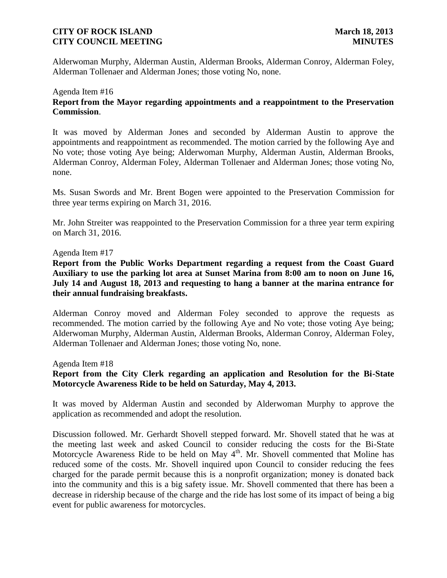Alderwoman Murphy, Alderman Austin, Alderman Brooks, Alderman Conroy, Alderman Foley, Alderman Tollenaer and Alderman Jones; those voting No, none.

# Agenda Item #16 **Report from the Mayor regarding appointments and a reappointment to the Preservation Commission**.

It was moved by Alderman Jones and seconded by Alderman Austin to approve the appointments and reappointment as recommended. The motion carried by the following Aye and No vote; those voting Aye being; Alderwoman Murphy, Alderman Austin, Alderman Brooks, Alderman Conroy, Alderman Foley, Alderman Tollenaer and Alderman Jones; those voting No, none.

Ms. Susan Swords and Mr. Brent Bogen were appointed to the Preservation Commission for three year terms expiring on March 31, 2016.

Mr. John Streiter was reappointed to the Preservation Commission for a three year term expiring on March 31, 2016.

#### Agenda Item #17

**Report from the Public Works Department regarding a request from the Coast Guard Auxiliary to use the parking lot area at Sunset Marina from 8:00 am to noon on June 16, July 14 and August 18, 2013 and requesting to hang a banner at the marina entrance for their annual fundraising breakfasts.** 

Alderman Conroy moved and Alderman Foley seconded to approve the requests as recommended. The motion carried by the following Aye and No vote; those voting Aye being; Alderwoman Murphy, Alderman Austin, Alderman Brooks, Alderman Conroy, Alderman Foley, Alderman Tollenaer and Alderman Jones; those voting No, none.

Agenda Item #18

# **Report from the City Clerk regarding an application and Resolution for the Bi-State Motorcycle Awareness Ride to be held on Saturday, May 4, 2013.**

It was moved by Alderman Austin and seconded by Alderwoman Murphy to approve the application as recommended and adopt the resolution.

Discussion followed. Mr. Gerhardt Shovell stepped forward. Mr. Shovell stated that he was at the meeting last week and asked Council to consider reducing the costs for the Bi-State Motorcycle Awareness Ride to be held on May  $4<sup>th</sup>$ . Mr. Shovell commented that Moline has reduced some of the costs. Mr. Shovell inquired upon Council to consider reducing the fees charged for the parade permit because this is a nonprofit organization; money is donated back into the community and this is a big safety issue. Mr. Shovell commented that there has been a decrease in ridership because of the charge and the ride has lost some of its impact of being a big event for public awareness for motorcycles.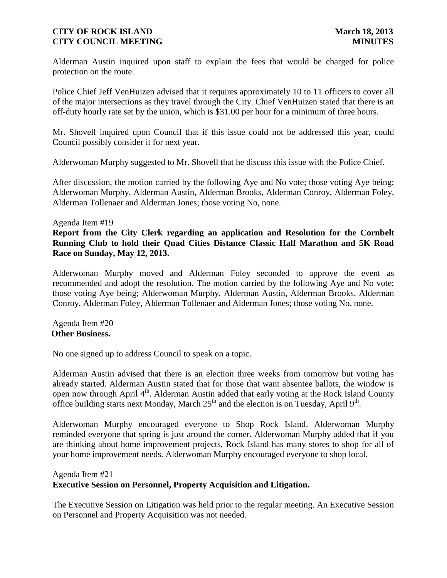Alderman Austin inquired upon staff to explain the fees that would be charged for police protection on the route.

Police Chief Jeff VenHuizen advised that it requires approximately 10 to 11 officers to cover all of the major intersections as they travel through the City. Chief VenHuizen stated that there is an off-duty hourly rate set by the union, which is \$31.00 per hour for a minimum of three hours.

Mr. Shovell inquired upon Council that if this issue could not be addressed this year, could Council possibly consider it for next year.

Alderwoman Murphy suggested to Mr. Shovell that he discuss this issue with the Police Chief.

After discussion, the motion carried by the following Aye and No vote; those voting Aye being; Alderwoman Murphy, Alderman Austin, Alderman Brooks, Alderman Conroy, Alderman Foley, Alderman Tollenaer and Alderman Jones; those voting No, none.

#### Agenda Item #19

**Report from the City Clerk regarding an application and Resolution for the Cornbelt Running Club to hold their Quad Cities Distance Classic Half Marathon and 5K Road Race on Sunday, May 12, 2013.** 

Alderwoman Murphy moved and Alderman Foley seconded to approve the event as recommended and adopt the resolution. The motion carried by the following Aye and No vote; those voting Aye being; Alderwoman Murphy, Alderman Austin, Alderman Brooks, Alderman Conroy, Alderman Foley, Alderman Tollenaer and Alderman Jones; those voting No, none.

Agenda Item #20 **Other Business.**

No one signed up to address Council to speak on a topic.

Alderman Austin advised that there is an election three weeks from tomorrow but voting has already started. Alderman Austin stated that for those that want absentee ballots, the window is open now through April  $4<sup>th</sup>$ . Alderman Austin added that early voting at the Rock Island County office building starts next Monday, March  $25<sup>th</sup>$  and the election is on Tuesday, April 9<sup>th</sup>.

Alderwoman Murphy encouraged everyone to Shop Rock Island. Alderwoman Murphy reminded everyone that spring is just around the corner. Alderwoman Murphy added that if you are thinking about home improvement projects, Rock Island has many stores to shop for all of your home improvement needs. Alderwoman Murphy encouraged everyone to shop local.

# Agenda Item #21 **Executive Session on Personnel, Property Acquisition and Litigation.**

The Executive Session on Litigation was held prior to the regular meeting. An Executive Session on Personnel and Property Acquisition was not needed.